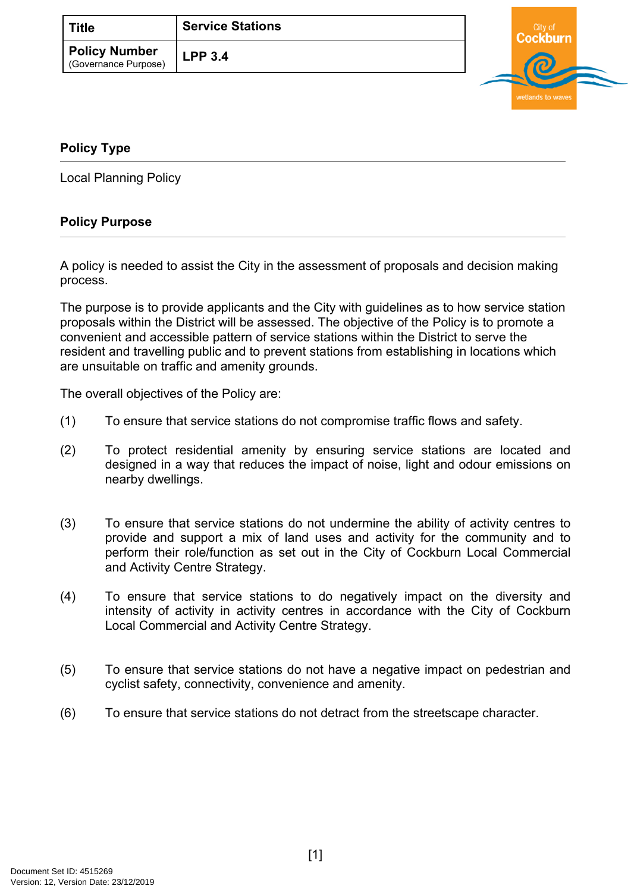| ∣ Title                                      | <b>Service Stations</b> |  |
|----------------------------------------------|-------------------------|--|
| <b>Policy Number</b><br>(Governance Purpose) | LPP 3.4                 |  |
|                                              |                         |  |



## <span id="page-0-0"></span>**[Policy Type](#page-0-0)**

Local Planning Policy

## **Policy Purpose**

A policy is needed to assist the City in the assessment of proposals and decision making process.

The purpose is to provide applicants and the City with guidelines as to how service station proposals within the District will be assessed. The objective of the Policy is to promote a convenient and accessible pattern of service stations within the District to serve the resident and travelling public and to prevent stations from establishing in locations which are unsuitable on traffic and amenity grounds.

The overall objectives of the Policy are:

- (1) To ensure that service stations do not compromise traffic flows and safety.
- (2) To protect residential amenity by ensuring service stations are located and designed in a way that reduces the impact of noise, light and odour emissions on nearby dwellings.
- (3) To ensure that service stations do not undermine the ability of activity centres to provide and support a mix of land uses and activity for the community and to perform their role/function as set out in the City of Cockburn Local Commercial and Activity Centre Strategy.
- (4) To ensure that service stations to do negatively impact on the diversity and intensity of activity in activity centres in accordance with the City of Cockburn Local Commercial and Activity Centre Strategy.
- (5) To ensure that service stations do not have a negative impact on pedestrian and cyclist safety, connectivity, convenience and amenity.
- (6) To ensure that service stations do not detract from the streetscape character.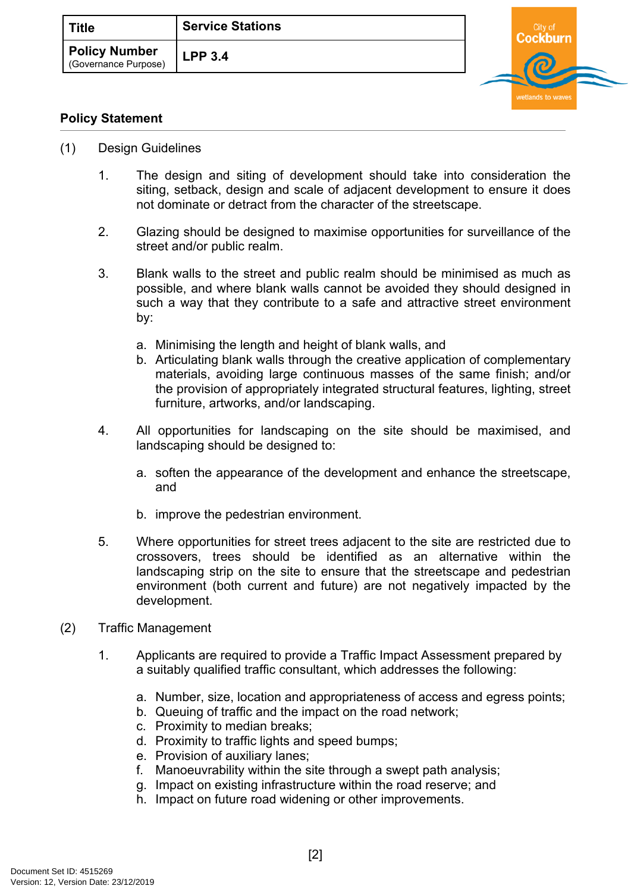| <b>Title</b>                                 | <b>Service Stations</b> |
|----------------------------------------------|-------------------------|
| <b>Policy Number</b><br>(Governance Purpose) | <b>LPP 3.4</b>          |



## **Policy Statement**

- (1) Design Guidelines
	- 1. The design and siting of development should take into consideration the siting, setback, design and scale of adjacent development to ensure it does not dominate or detract from the character of the streetscape.
	- 2. Glazing should be designed to maximise opportunities for surveillance of the street and/or public realm.
	- 3. Blank walls to the street and public realm should be minimised as much as possible, and where blank walls cannot be avoided they should designed in such a way that they contribute to a safe and attractive street environment by:
		- a. Minimising the length and height of blank walls, and
		- b. Articulating blank walls through the creative application of complementary materials, avoiding large continuous masses of the same finish; and/or the provision of appropriately integrated structural features, lighting, street furniture, artworks, and/or landscaping.
	- 4. All opportunities for landscaping on the site should be maximised, and landscaping should be designed to:
		- a. soften the appearance of the development and enhance the streetscape, and
		- b. improve the pedestrian environment.
	- 5. Where opportunities for street trees adjacent to the site are restricted due to crossovers, trees should be identified as an alternative within the landscaping strip on the site to ensure that the streetscape and pedestrian environment (both current and future) are not negatively impacted by the development.
- (2) Traffic Management
	- 1. Applicants are required to provide a Traffic Impact Assessment prepared by a suitably qualified traffic consultant, which addresses the following:
		- a. Number, size, location and appropriateness of access and egress points;
		- b. Queuing of traffic and the impact on the road network;
		- c. Proximity to median breaks;
		- d. Proximity to traffic lights and speed bumps;
		- e. Provision of auxiliary lanes;
		- f. Manoeuvrability within the site through a swept path analysis;
		- g. Impact on existing infrastructure within the road reserve; and
		- h. Impact on future road widening or other improvements.